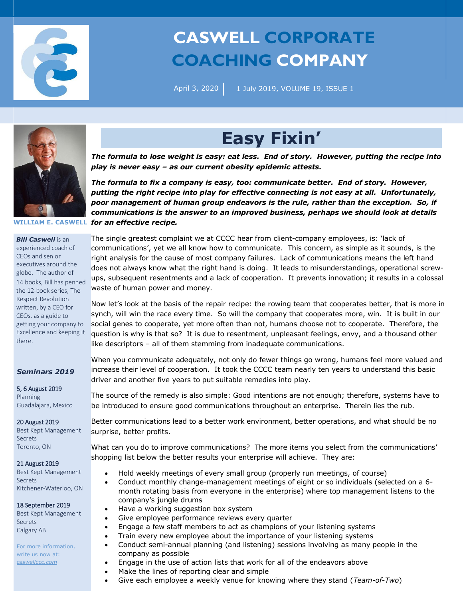

# **CASWELL CORPORATE COACHING COMPANY**

April 3, 2020

1 July 2019, VOLUME 19, ISSUE 1



#### *Bill Caswell* is an

experienced coach of CEOs and senior executives around the globe. The author of 14 books, Bill has penned the 12-book series, The Respect Revolution written, by a CEO for CEOs, as a guide to getting your company to Excellence and keeping it there.

### *Seminars 2019*

5, 6 August 2019 Planning Guadalajara, Mexico

20 August 2019 Best Kept Management **Secrets** Toronto, ON

#### 21 August 2019

Best Kept Management Secrets Kitchener-Waterloo, ON

#### 18 September 2019

Best Kept Management Secrets Calgary AB

For more information, write us now at: *caswellccc.com*

## **Easy Fixin'**

*The formula to lose weight is easy: eat less. End of story. However, putting the recipe into play is never easy – as our current obesity epidemic attests.* 

**WILLIAM E. CASWELL** *for an effective recipe. The formula to fix a company is easy, too: communicate better. End of story. However, putting the right recipe into play for effective connecting is not easy at all. Unfortunately, poor management of human group endeavors is the rule, rather than the exception. So, if communications is the answer to an improved business, perhaps we should look at details* 

> The single greatest complaint we at CCCC hear from client-company employees, is: 'lack of communications', yet we all know how to communicate. This concern, as simple as it sounds, is the right analysis for the cause of most company failures. Lack of communications means the left hand does not always know what the right hand is doing. It leads to misunderstandings, operational screwups, subsequent resentments and a lack of cooperation. It prevents innovation; it results in a colossal waste of human power and money.

> Now let's look at the basis of the repair recipe: the rowing team that cooperates better, that is more in synch, will win the race every time. So will the company that cooperates more, win. It is built in our social genes to cooperate, yet more often than not, humans choose not to cooperate. Therefore, the question is why is that so? It is due to resentment, unpleasant feelings, envy, and a thousand other like descriptors – all of them stemming from inadequate communications.

> When you communicate adequately, not only do fewer things go wrong, humans feel more valued and increase their level of cooperation. It took the CCCC team nearly ten years to understand this basic driver and another five years to put suitable remedies into play.

> The source of the remedy is also simple: Good intentions are not enough; therefore, systems have to be introduced to ensure good communications throughout an enterprise. Therein lies the rub.

> Better communications lead to a better work environment, better operations, and what should be no surprise, better profits.

> What can you do to improve communications? The more items you select from the communications' shopping list below the better results your enterprise will achieve. They are:

- Hold weekly meetings of every small group (properly run meetings, of course)
- Conduct monthly change-management meetings of eight or so individuals (selected on a 6 month rotating basis from everyone in the enterprise) where top management listens to the company's jungle drums
- Have a working suggestion box system
- Give employee performance reviews every quarter
- Engage a few staff members to act as champions of your listening systems
- Train every new employee about the importance of your listening systems
- Conduct semi-annual planning (and listening) sessions involving as many people in the company as possible
- Engage in the use of action lists that work for all of the endeavors above
- Make the lines of reporting clear and simple
- Give each employee a weekly venue for knowing where they stand (*Team-of-Two*)